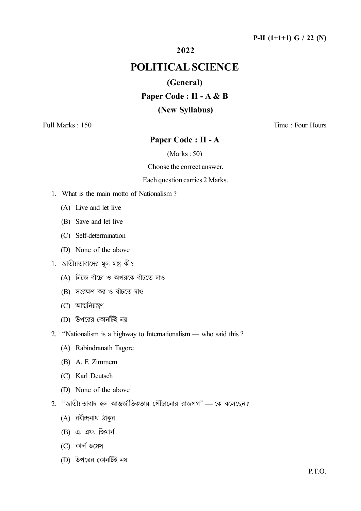### P-II  $(1+1+1)$  G / 22 (N)

#### 2022

# **POLITICAL SCIENCE**

# (General)

# Paper Code : II - A & B

### (New Syllabus)

Full Marks  $\cdot$  150

Time · Four Hours

## Paper Code: II - A

#### $(Marks: 50)$

#### Choose the correct answer.

#### Each question carries 2 Marks.

- 1. What is the main motto of Nationalism?
	- (A) Live and let live
	- (B) Save and let live
	- (C) Self-determination
	- (D) None of the above
- 1. জাতীয়তাবাদের মল মন্ত্র কী?
	- $(A)$  নিজে বাঁচো ও অপরকে বাঁচতে দাও
	- (B) সংরক্ষণ কর ও বাঁচতে দাও
	- $(C)$  আত্মনিয়ন্ত্রণ
	- (D) উপরের কোনটিই নয়
- 2. "Nationalism is a highway to Internationalism who said this?
	- (A) Rabindranath Tagore
	- (B) A. F. Zimmern
	- (C) Karl Deutsch
	- (D) None of the above
- 2. "জাতীয়তাবাদ হল আন্তর্জাতিকতায় পৌঁছানোর রাজপথ" কে বলেছেন?
	- $(A)$  রবীন্দ্রনাথ ঠাকুর
	- $(B)$  এ. এফ. জিমার্ন
	- (C) কাৰ্ল ডয়েস
	- (D) উপরের কোনটিই নয়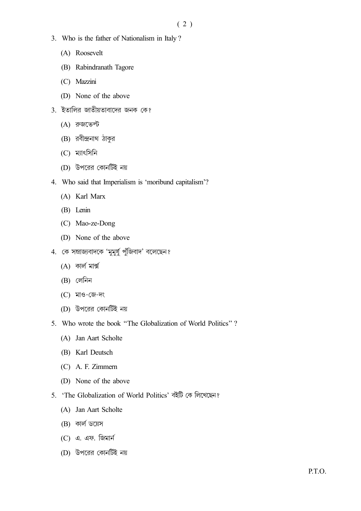- 3. Who is the father of Nationalism in Italy?
	- (A) Roosevelt
	- (B) Rabindranath Tagore
	- (C) Mazzini
	- (D) None of the above
- $3.$  ইতালির জাতীয়তাবাদের জনক কে?
	- $(A)$  রুজভেল্ট
	- (B) রবীন্দ্রনাথ ঠাকুর
	- $(C)$  ম্যাৎসিনি
	- (D) উপরের কোনটিই নয়
- 4. Who said that Imperialism is 'moribund capitalism'?
	- (A) Karl Marx
	- (B) Lenin
	- (C) Mao-ze-Dong
	- (D) None of the above
- 4. কে সম্রাজ্যবাদকে 'মুমুর্ষু পুঁজিবাদ' বলেছেন?
	- $(A)$  কাৰ্ল মাৰ্ক্স
	- $(B)$  লেনিন
	- $(C)$  মাও-জে-দং
	- (D) উপরের কোনটিই নয়
- 5. Who wrote the book "The Globalization of World Politics"?
	- (A) Jan Aart Scholte
	- (B) Karl Deutsch
	- (C) A. F. Zimmern
	- (D) None of the above
- 5. 'The Globalization of World Politics' বইটি কে লিখেছেন?
	- (A) Jan Aart Scholte
	- (B) কাৰ্ল ডয়েস
	- $(C)$  এ. এফ. জিমার্ন
	- (D) উপরের কোনটিই নয়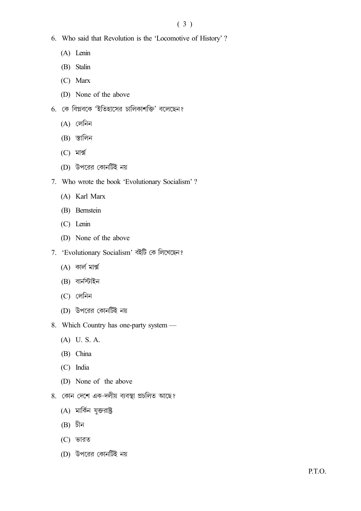## $(3)$

- 6. Who said that Revolution is the 'Locomotive of History'?
	- $(A)$  Lenin
	- (B) Stalin
	- $(C)$  Marx
	- (D) None of the above
- $6.$  কে বিপ্লবকে 'ইতিহাসের চালিকাশক্তি' বলেছেন?
	- $(A)$  লেনিন
	- $(B)$  স্তালিন
	- $(C)$  মাৰ্ক্স
	- (D) উপরের কোনটিই নয়
- 7. Who wrote the book 'Evolutionary Socialism'?
	- (A) Karl Marx
	- (B) Bernstein
	- (C) Lenin
	- (D) None of the above
- 7. 'Evolutionary Socialism' বইটি কে লিখেছেন?
	- $(A)$  কাৰ্ল মাৰ্ক্স
	- (B) বার্নস্টাইন
	- $(C)$  লেনিন
	- (D) উপরের কোনটিই নয়
- 8. Which Country has one-party system -
	- (A) U.S.A.
	- (B) China
	- (C) India
	- (D) None of the above
- 8. কোন দেশে এক-দলীয় ব্যবস্থা প্রচলিত আছে?
	- (A) মার্কিন যুক্তরাষ্ট্র
	- $(B)$  চীন
	- $(C)$  ভারত
	- (D) উপরের কোনটিই নয়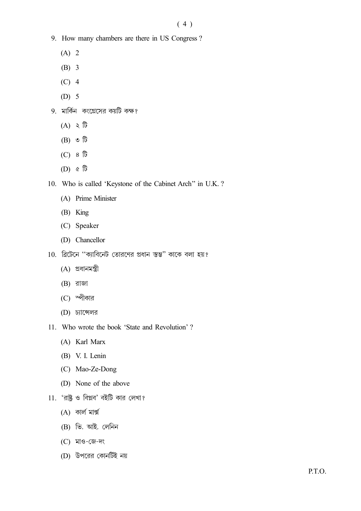- 9. How many chambers are there in US Congress?
	- $(A)$  2
	- $(B)$  3
	- $(C)$  4
	- $(D)$  5
- 9. মার্কিন কংগ্রেসের কয়টি কক্ষ?
	- $(A)$   $\leq$   $\sqrt{b}$
	- $(B)$   $\circ$   $\overline{b}$
	- $(C) 8 \n{\mathbb{G}}$
	- $(D)$   $\&$   $\hat{b}$
- 10. Who is called 'Keystone of the Cabinet Arch' in U.K. ?
	- (A) Prime Minister
	- (B) King
	- (C) Speaker
	- (D) Chancellor
- 10. ৱিটেনে "ক্যাবিনেট তোরণের প্রধান স্তম্ভ" কাকে বলা হয়?
	- $(A)$  প্রধানমন্ত্রী
	- $(B)$  রাজা
	- $(C)$  স্পীকার
	- (D) চ্যান্সেলর
- 11. Who wrote the book 'State and Revolution'?
	- (A) Karl Marx
	- (B) V. I. Lenin
	- (C) Mao-Ze-Dong
	- (D) None of the above
- $11.$  'রাষ্ট্র ও বিপ্লব' বইটি কার লেখা?
	- $(A)$  কাৰ্ল মাৰ্ক্স
	- $(B)$  ভি. আই. লেনিন
	- $(C)$  মাও-জে-দং
	- (D) উপরের কোনটিই নয়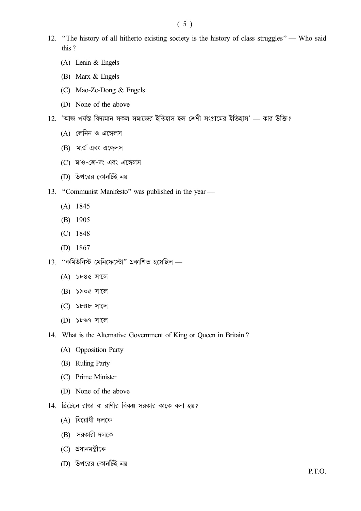- 12. "The history of all hitherto existing society is the history of class struggles" Who said this?
	- $(A)$  Lenin & Engels
	- (B) Marx & Engels
	- (C) Mao-Ze-Dong  $&$  Engels
	- (D) None of the above
- 12. 'আজ পর্যন্ত বিদ্যমান সকল সমাজের ইতিহাস হল শ্রেণী সংগ্রামের ইতিহাস' কার উক্তি?
	- $(A)$  লেনিন ও এঙ্গেলস
	- (B) মার্ক্স এবং এঙ্গেলস
	- (C) মাও-জে-দং এবং এঙ্গেলস
	- (D) উপরের কোনটিই নয়
- 13. "Communist Manifesto" was published in the year
	- $(A)$  1845
	- $(B)$  1905
	- $(C)$  1848
	- (D)  $1867$
- $13.$  "কমিউনিস্ট মেনিফেস্টো" প্ৰকাশিত হয়েছিল
	- $(A)$  ১৮৪৫ সালে
	- $(B)$  ১৯০৫ সালে
	- $(C)$  ১৮৪৮ সালে
	- (D) ১৮৬৭ সালে
- 14. What is the Alternative Government of King or Queen in Britain?
	- (A) Opposition Party
	- (B) Ruling Party
	- (C) Prime Minister
	- (D) None of the above
- 14. ব্রিটেনে রাজা বা রাণীর বিকল্প সরকার কাকে বলা হয়?
	- (A) বিরোধী দলকে
	- (B) সরকারী দলকে
	- (C) প্ৰধানমন্ত্ৰীকে
	- (D) উপরের কোনটিই নয়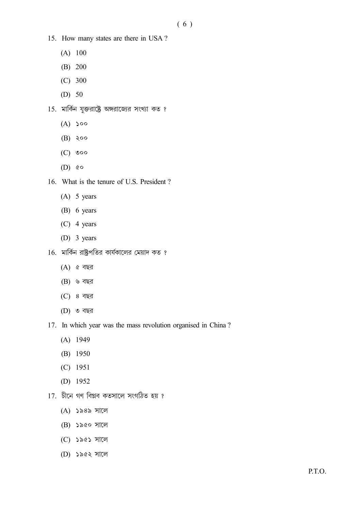- 15. How many states are there in USA?
	- $(A)$  100
	- $(B) 200$
	- $(C) 300$
	- (D)  $50$
- 15. মার্কিন যুক্তরাষ্ট্রে অঙ্গরাজ্যের সংখ্যা কত ?
	- $(A)$  soo
	- $(B)$  ২০০
	- $(C)$  000
	- $(D)$  &  $\circ$
- 16. What is the tenure of U.S. President?
	- $(A)$  5 years
	- $(B)$  6 years
	- $(C)$  4 years
	- (D)  $3$  years
- $16.$  মার্কিন রাষ্ট্রপতির কার্যকালের মেয়াদ কত ?
	- $(A)$  ৫ বছর
	- $(B)$  ৬ বছর
	- (C) ৪ বছর
	- $(D)$  ৩ বছর
- 17. In which year was the mass revolution organised in China?
	- $(A)$  1949
	- $(B)$  1950
	- $(C)$  1951
	- (D)  $1952$
- 17. চীনে গণ বিপ্লব কতসালে সংগঠিত হয় ?
	- $(A)$  ১৯৪৯ সালে
	- (B) ১৯৫০ সালে
	- $(C)$  ১৯৫১ সালে
	- (D) ১৯৫২ সালে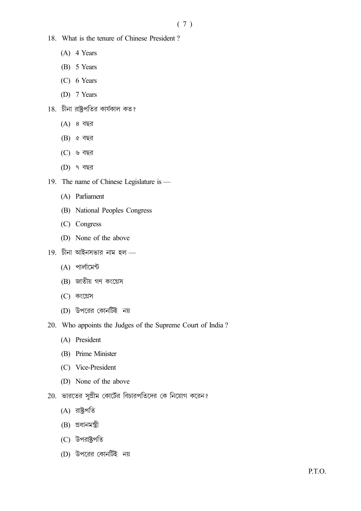- 18. What is the tenure of Chinese President?
	- $(A)$  4 Years
	- $(B)$  5 Years
	- $(C)$  6 Years
	- (D)  $7$  Years
- 18. চীনা রাষ্ট্রপতির কার্যকাল কত?
	- $(A)$  ৪ বছর
	- $(B)$  ৫ বছর
	- $(C)$  ৬ বছর
	- $(D)$  ৭ বছর
- 19. The name of Chinese Legislature is
	- (A) Parliament
	- (B) National Peoples Congress
	- (C) Congress
	- (D) None of the above
- $19.$  চীনা আইনসভার নাম হল  $-$ 
	- $(A)$  পার্লামেন্ট
	- (B) জাতীয় গণ কংগ্রেস
	- $(C)$  কংগ্ৰেস
	- (D) উপরের কোনটিই নয়
- 20. Who appoints the Judges of the Supreme Court of India?
	- (A) President
	- (B) Prime Minister
	- (C) Vice-President
	- (D) None of the above
- $20.$  ভারতের সুপ্রীম কোর্টের বিচারপতিদের কে নিয়োগ করেন?
	- (A) রাষ্ট্রপতি
	- $(B)$  প্রধানমন্ত্রী
	- (C) উপরাষ্ট্রপতি
	- (D) উপরের কোনটিই নয়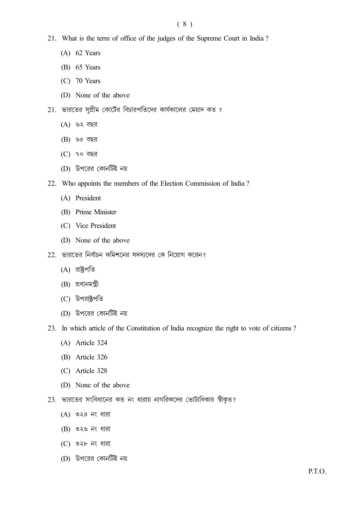- 21. What is the term of office of the judges of the Supreme Court in India ?
	- (A) 62 Years
	- (B) 65 Years
	- (C) 70 Years
	- (D) None of the above
- $21.$  ভারতের সুপ্রীম কোর্টের বিচারপতিদের কার্যকালের মেয়াদ কত ?
	- $(A)$  ৬২ বছর
	- $(B)$  ৬৫ বছর
	- $(C)$  ৭০ বছর
	- (D) উপরের কোনটিই নয়
- 22. Who appoints the members of the Election Commission of India ?
	- (A) President
	- (B) Prime Minister
	- (C) Vice President
	- (D) None of the above
- 22. ভারতের নির্বাচন কমিশনের সদস্যদের কে নিয়োগ করেন?
	- (A) রাষ্ট্রপতি
	- $(B)$  প্রধানমন্ত্রী
	- (C) উপরাষ্ট্রপতি
	- (D) উপরের কোনটিই নয়
- 23. In which article of the Constitution of India recognize the right to vote of citizens ?
	- (A) Article 324
	- (B) Article 326
	- (C) Article 328
	- (D) None of the above
- 23. ভারতের সংবিধানের কত নং ধারায় নাগরিকদের ভোটাধিকার স্বীকৃত?
	- $(A)$  ৩২৪ নং ধারা
	- $(B)$  ৩২৬ নং ধারা
	- $(C)$  ৩২৮ নং ধারা
	- (D) উপরের কোনটিই নয়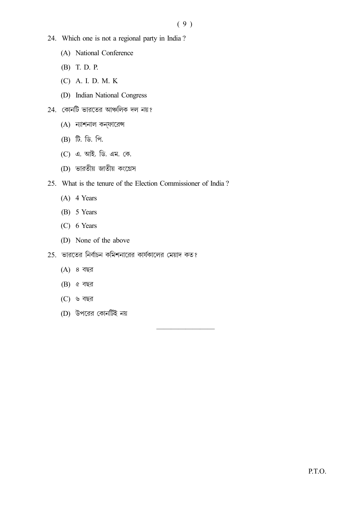- 24. Which one is not a regional party in India?
	- (A) National Conference
	- (B) T. D. P.
	- (C) A. I. D. M. K
	- (D) Indian National Congress
- $24.$  কোনটি ভারতের আঞ্চলিক দল নয়?
	- $(A)$  ন্যাশনাল কন্ফারেন্স
	- (B) টি. ডি. পি.
	- (C) এ. আই. ডি. এম. কে.
	- (D) ভারতীয় জাতীয় কংগ্রেস
- 25. What is the tenure of the Election Commissioner of India?
	- $(A)$  4 Years
	- $(B)$  5 Years
	- $(C)$  6 Years
	- (D) None of the above
- $25.$  ভারতের নির্বাচন কমিশনারের কার্যকালের মেয়াদ কত?
	- $(A)$  ৪ বছর
	- $(B)$  ৫ বছর
	- $(C)$  ৬ বছর
	- (D) উপরের কোনটিই নয়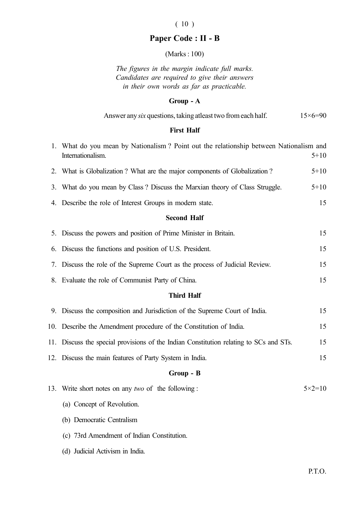# ( 10 )

# Paper Code : II - B

(Marks : 100)

The figures in the margin indicate full marks. Candidates are required to give their answers in their own words as far as practicable.

### Group - A

|  |  | Answer any <i>six</i> questions, taking at least two from each half. | $15\times 6=90$ |
|--|--|----------------------------------------------------------------------|-----------------|
|--|--|----------------------------------------------------------------------|-----------------|

### First Half

|                   | 1. What do you mean by Nationalism? Point out the relationship between Nationalism and<br>Internationalism. | $5 + 10$          |  |  |
|-------------------|-------------------------------------------------------------------------------------------------------------|-------------------|--|--|
|                   | 2. What is Globalization ? What are the major components of Globalization ?                                 | $5 + 10$          |  |  |
|                   | 3. What do you mean by Class? Discuss the Marxian theory of Class Struggle.                                 | $5 + 10$          |  |  |
|                   | 4. Describe the role of Interest Groups in modern state.                                                    | 15                |  |  |
|                   | <b>Second Half</b>                                                                                          |                   |  |  |
|                   | 5. Discuss the powers and position of Prime Minister in Britain.                                            | 15                |  |  |
| 6.                | Discuss the functions and position of U.S. President.                                                       | 15                |  |  |
|                   | 7. Discuss the role of the Supreme Court as the process of Judicial Review.                                 | 15                |  |  |
|                   | 8. Evaluate the role of Communist Party of China.                                                           | 15                |  |  |
| <b>Third Half</b> |                                                                                                             |                   |  |  |
|                   | 9. Discuss the composition and Jurisdiction of the Supreme Court of India.                                  | 15                |  |  |
|                   | 10. Describe the Amendment procedure of the Constitution of India.                                          | 15                |  |  |
|                   | 11. Discuss the special provisions of the Indian Constitution relating to SCs and STs.                      | 15                |  |  |
|                   | 12. Discuss the main features of Party System in India.                                                     | 15                |  |  |
| Group - B         |                                                                                                             |                   |  |  |
|                   | 13. Write short notes on any two of the following:                                                          | $5 \times 2 = 10$ |  |  |
|                   | (a) Concept of Revolution.                                                                                  |                   |  |  |
|                   | (b) Democratic Centralism                                                                                   |                   |  |  |
|                   | (c) 73rd Amendment of Indian Constitution.                                                                  |                   |  |  |

(d) Judicial Activism in India.